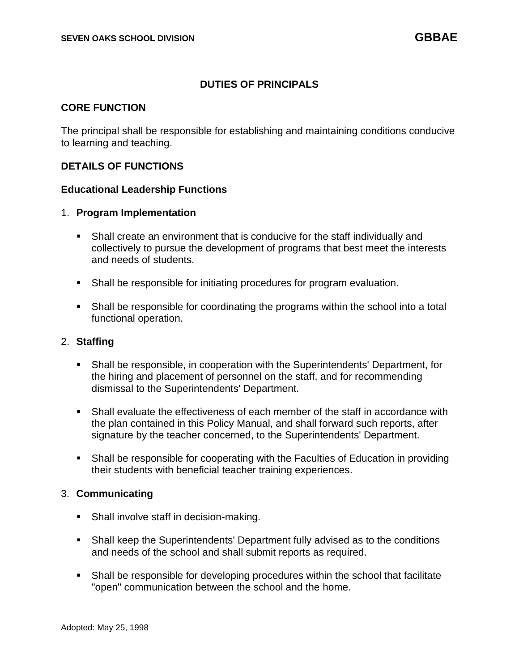## **DUTIES OF PRINCIPALS**

## **CORE FUNCTION**

The principal shall be responsible for establishing and maintaining conditions conducive to learning and teaching.

### **DETAILS OF FUNCTIONS**

#### **Educational Leadership Functions**

#### 1. **Program Implementation**

- Shall create an environment that is conducive for the staff individually and collectively to pursue the development of programs that best meet the interests and needs of students.
- Shall be responsible for initiating procedures for program evaluation.
- Shall be responsible for coordinating the programs within the school into a total functional operation.

#### 2. **Staffing**

- Shall be responsible, in cooperation with the Superintendents' Department, for the hiring and placement of personnel on the staff, and for recommending dismissal to the Superintendents' Department.
- Shall evaluate the effectiveness of each member of the staff in accordance with the plan contained in this Policy Manual, and shall forward such reports, after signature by the teacher concerned, to the Superintendents' Department.
- Shall be responsible for cooperating with the Faculties of Education in providing their students with beneficial teacher training experiences.

#### 3. **Communicating**

- Shall involve staff in decision-making.
- Shall keep the Superintendents' Department fully advised as to the conditions and needs of the school and shall submit reports as required.
- Shall be responsible for developing procedures within the school that facilitate "open" communication between the school and the home.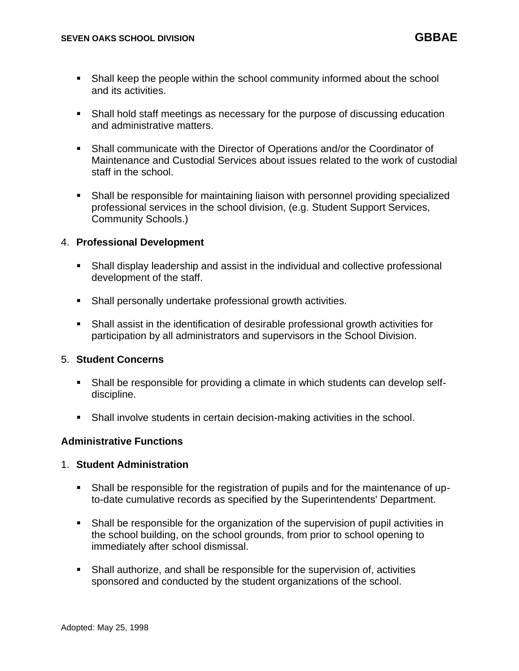- Shall keep the people within the school community informed about the school and its activities.
- Shall hold staff meetings as necessary for the purpose of discussing education and administrative matters.
- Shall communicate with the Director of Operations and/or the Coordinator of Maintenance and Custodial Services about issues related to the work of custodial staff in the school.
- Shall be responsible for maintaining liaison with personnel providing specialized professional services in the school division, (e.g. Student Support Services, Community Schools.)

## 4. **Professional Development**

- Shall display leadership and assist in the individual and collective professional development of the staff.
- Shall personally undertake professional growth activities.
- Shall assist in the identification of desirable professional growth activities for participation by all administrators and supervisors in the School Division.

#### 5. **Student Concerns**

- Shall be responsible for providing a climate in which students can develop selfdiscipline.
- **•** Shall involve students in certain decision-making activities in the school.

#### **Administrative Functions**

#### 1. **Student Administration**

- Shall be responsible for the registration of pupils and for the maintenance of upto-date cumulative records as specified by the Superintendents' Department.
- Shall be responsible for the organization of the supervision of pupil activities in the school building, on the school grounds, from prior to school opening to immediately after school dismissal.
- **•** Shall authorize, and shall be responsible for the supervision of, activities sponsored and conducted by the student organizations of the school.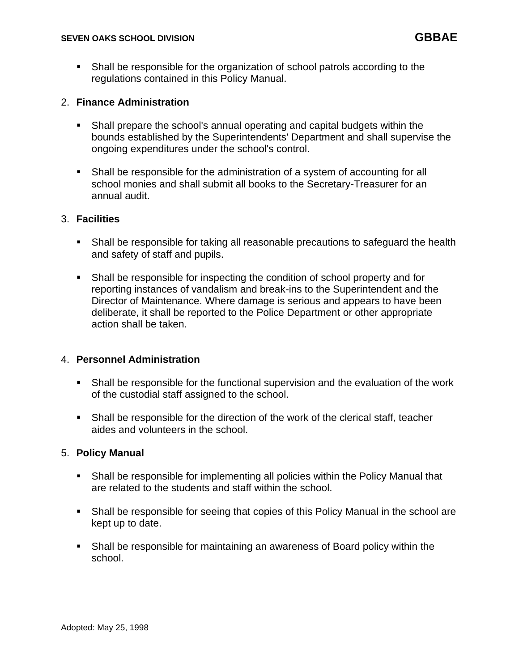**•** Shall be responsible for the organization of school patrols according to the regulations contained in this Policy Manual.

## 2. **Finance Administration**

- Shall prepare the school's annual operating and capital budgets within the bounds established by the Superintendents' Department and shall supervise the ongoing expenditures under the school's control.
- Shall be responsible for the administration of a system of accounting for all school monies and shall submit all books to the Secretary-Treasurer for an annual audit.

## 3. **Facilities**

- Shall be responsible for taking all reasonable precautions to safeguard the health and safety of staff and pupils.
- Shall be responsible for inspecting the condition of school property and for reporting instances of vandalism and break-ins to the Superintendent and the Director of Maintenance. Where damage is serious and appears to have been deliberate, it shall be reported to the Police Department or other appropriate action shall be taken.

## 4. **Personnel Administration**

- **•** Shall be responsible for the functional supervision and the evaluation of the work of the custodial staff assigned to the school.
- Shall be responsible for the direction of the work of the clerical staff, teacher aides and volunteers in the school.

#### 5. **Policy Manual**

- Shall be responsible for implementing all policies within the Policy Manual that are related to the students and staff within the school.
- Shall be responsible for seeing that copies of this Policy Manual in the school are kept up to date.
- Shall be responsible for maintaining an awareness of Board policy within the school.